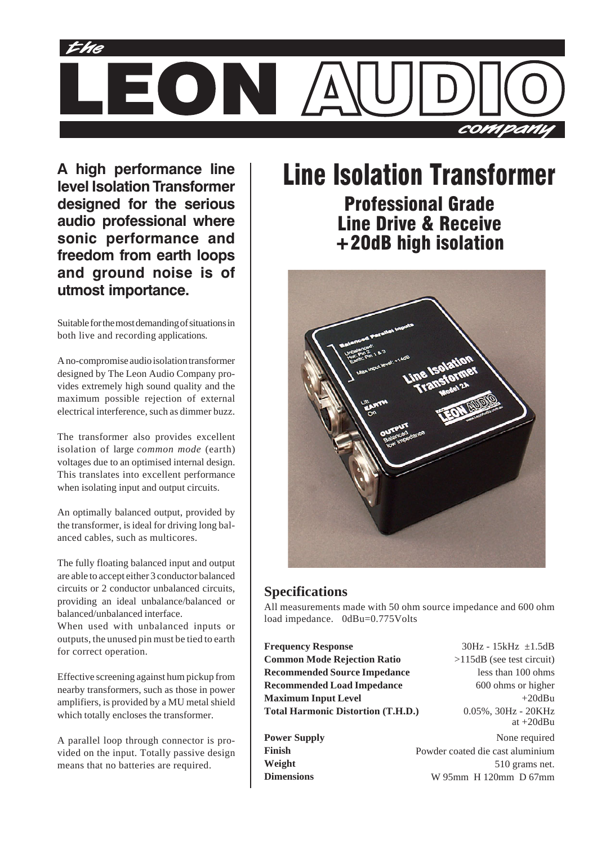

A high performance line level Isolation Transformer designed for the serious audio professional where sonic performance and freedom from earth loops and ground noise is of utmost importance.

Suitable for the most demanding of situations in both live and recording applications.

A no-compromise audio isolation transformer designed by The Leon Audio Company provides extremely high sound quality and the maximum possible rejection of external electrical interference, such as dimmer buzz.

The transformer also provides excellent isolation of large *common mode* (earth) voltages due to an optimised internal design. This translates into excellent performance when isolating input and output circuits.

An optimally balanced output, provided by the transformer, is ideal for driving long balanced cables, such as multicores.

The fully floating balanced input and output are able to accept either 3 conductor balanced circuits or 2 conductor unbalanced circuits, providing an ideal unbalance/balanced or balanced/unbalanced interface.

When used with unbalanced inputs or outputs, the unused pin must be tied to earth for correct operation.

Effective screening against hum pickup from nearby transformers, such as those in power amplifiers, is provided by a MU metal shield which totally encloses the transformer.

A parallel loop through connector is provided on the input. Totally passive design means that no batteries are required.

# Line Isolation Transformer

Professional Grade Line Drive & Receive +20dB high isolation



## **Specifications**

All measurements made with 50 ohm source impedance and 600 ohm load impedance. 0dBu=0.775Volts

**Frequency Response Common Mode Rejection Ratio Recommended Source Impedance Recommended Load Impedance Maximum Input Level Total Harmonic Distortion (T.H.D.)**

**Power Supply Finish Weight Dimensions**

 $30Hz - 15kHz + 1.5dB$ >115dB (see test circuit) less than 100 ohms 600 ohms or higher  $+20$ dBu 0.05%, 30Hz - 20KHz at +20dBu

None required Powder coated die cast aluminium 510 grams net. W 95mm H 120mm D 67mm